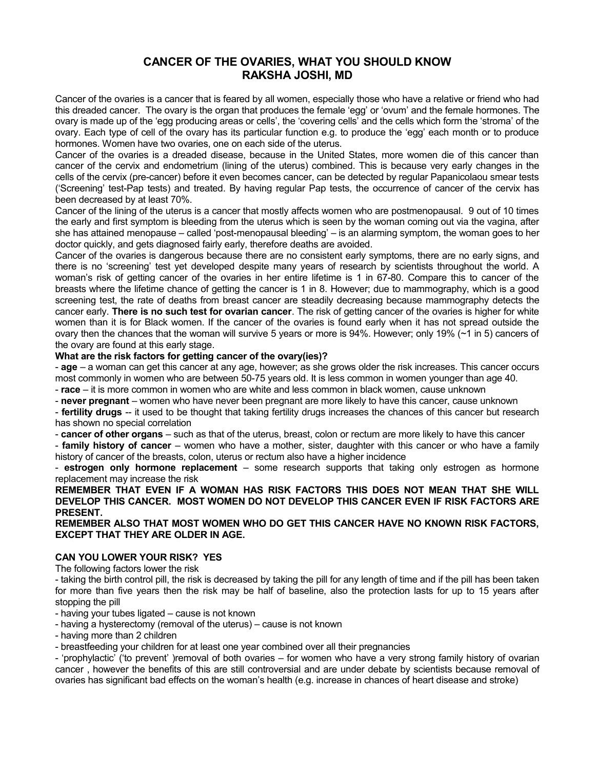# **CANCER OF THE OVARIES, WHAT YOU SHOULD KNOW RAKSHA JOSHI, MD**

Cancer of the ovaries is a cancer that is feared by all women, especially those who have a relative or friend who had this dreaded cancer. The ovary is the organ that produces the female 'egg' or 'ovum' and the female hormones. The ovary is made up of the 'egg producing areas or cells', the 'covering cells' and the cells which form the 'stroma' of the ovary. Each type of cell of the ovary has its particular function e.g. to produce the 'egg' each month or to produce hormones. Women have two ovaries, one on each side of the uterus.

Cancer of the ovaries is a dreaded disease, because in the United States, more women die of this cancer than cancer of the cervix and endometrium (lining of the uterus) combined. This is because very early changes in the cells of the cervix (pre-cancer) before it even becomes cancer, can be detected by regular Papanicolaou smear tests ('Screening' test-Pap tests) and treated. By having regular Pap tests, the occurrence of cancer of the cervix has been decreased by at least 70%.

Cancer of the lining of the uterus is a cancer that mostly affects women who are postmenopausal. 9 out of 10 times the early and first symptom is bleeding from the uterus which is seen by the woman coming out via the vagina, after she has attained menopause – called 'post-menopausal bleeding' – is an alarming symptom, the woman goes to her doctor quickly, and gets diagnosed fairly early, therefore deaths are avoided.

Cancer of the ovaries is dangerous because there are no consistent early symptoms, there are no early signs, and there is no 'screening' test yet developed despite many years of research by scientists throughout the world. A woman's risk of getting cancer of the ovaries in her entire lifetime is 1 in 67-80. Compare this to cancer of the breasts where the lifetime chance of getting the cancer is 1 in 8. However; due to mammography, which is a good screening test, the rate of deaths from breast cancer are steadily decreasing because mammography detects the cancer early. **There is no such test for ovarian cancer**. The risk of getting cancer of the ovaries is higher for white women than it is for Black women. If the cancer of the ovaries is found early when it has not spread outside the ovary then the chances that the woman will survive 5 years or more is 94%. However; only 19% (~1 in 5) cancers of the ovary are found at this early stage.

#### **What are the risk factors for getting cancer of the ovary(ies)?**

- **age** – a woman can get this cancer at any age, however; as she grows older the risk increases. This cancer occurs most commonly in women who are between 50-75 years old. It is less common in women younger than age 40.

- **race** – it is more common in women who are white and less common in black women, cause unknown

- **never pregnant** – women who have never been pregnant are more likely to have this cancer, cause unknown

- **fertility drugs** -- it used to be thought that taking fertility drugs increases the chances of this cancer but research has shown no special correlation

- **cancer of other organs** – such as that of the uterus, breast, colon or rectum are more likely to have this cancer

- **family history of cancer** – women who have a mother, sister, daughter with this cancer or who have a family history of cancer of the breasts, colon, uterus or rectum also have a higher incidence

- **estrogen only hormone replacement** – some research supports that taking only estrogen as hormone replacement may increase the risk

# **REMEMBER THAT EVEN IF A WOMAN HAS RISK FACTORS THIS DOES NOT MEAN THAT SHE WILL DEVELOP THIS CANCER. MOST WOMEN DO NOT DEVELOP THIS CANCER EVEN IF RISK FACTORS ARE PRESENT.**

**REMEMBER ALSO THAT MOST WOMEN WHO DO GET THIS CANCER HAVE NO KNOWN RISK FACTORS, EXCEPT THAT THEY ARE OLDER IN AGE.**

#### **CAN YOU LOWER YOUR RISK? YES**

The following factors lower the risk

- taking the birth control pill, the risk is decreased by taking the pill for any length of time and if the pill has been taken for more than five years then the risk may be half of baseline, also the protection lasts for up to 15 years after stopping the pill

- having your tubes ligated – cause is not known

- having a hysterectomy (removal of the uterus) – cause is not known

- having more than 2 children

- breastfeeding your children for at least one year combined over all their pregnancies

- 'prophylactic' ('to prevent' )removal of both ovaries – for women who have a very strong family history of ovarian cancer , however the benefits of this are still controversial and are under debate by scientists because removal of ovaries has significant bad effects on the woman's health (e.g. increase in chances of heart disease and stroke)